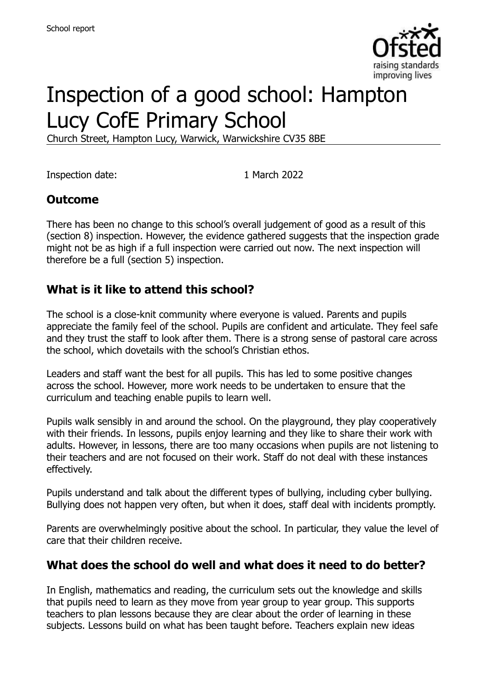

# Inspection of a good school: Hampton Lucy CofE Primary School

Church Street, Hampton Lucy, Warwick, Warwickshire CV35 8BE

Inspection date: 1 March 2022

### **Outcome**

There has been no change to this school's overall judgement of good as a result of this (section 8) inspection. However, the evidence gathered suggests that the inspection grade might not be as high if a full inspection were carried out now. The next inspection will therefore be a full (section 5) inspection.

#### **What is it like to attend this school?**

The school is a close-knit community where everyone is valued. Parents and pupils appreciate the family feel of the school. Pupils are confident and articulate. They feel safe and they trust the staff to look after them. There is a strong sense of pastoral care across the school, which dovetails with the school's Christian ethos.

Leaders and staff want the best for all pupils. This has led to some positive changes across the school. However, more work needs to be undertaken to ensure that the curriculum and teaching enable pupils to learn well.

Pupils walk sensibly in and around the school. On the playground, they play cooperatively with their friends. In lessons, pupils enjoy learning and they like to share their work with adults. However, in lessons, there are too many occasions when pupils are not listening to their teachers and are not focused on their work. Staff do not deal with these instances effectively.

Pupils understand and talk about the different types of bullying, including cyber bullying. Bullying does not happen very often, but when it does, staff deal with incidents promptly.

Parents are overwhelmingly positive about the school. In particular, they value the level of care that their children receive.

#### **What does the school do well and what does it need to do better?**

In English, mathematics and reading, the curriculum sets out the knowledge and skills that pupils need to learn as they move from year group to year group. This supports teachers to plan lessons because they are clear about the order of learning in these subjects. Lessons build on what has been taught before. Teachers explain new ideas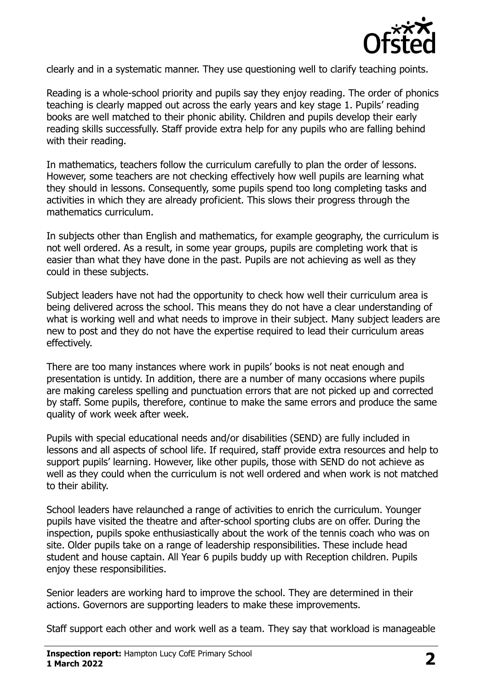

clearly and in a systematic manner. They use questioning well to clarify teaching points.

Reading is a whole-school priority and pupils say they enjoy reading. The order of phonics teaching is clearly mapped out across the early years and key stage 1. Pupils' reading books are well matched to their phonic ability. Children and pupils develop their early reading skills successfully. Staff provide extra help for any pupils who are falling behind with their reading.

In mathematics, teachers follow the curriculum carefully to plan the order of lessons. However, some teachers are not checking effectively how well pupils are learning what they should in lessons. Consequently, some pupils spend too long completing tasks and activities in which they are already proficient. This slows their progress through the mathematics curriculum.

In subjects other than English and mathematics, for example geography, the curriculum is not well ordered. As a result, in some year groups, pupils are completing work that is easier than what they have done in the past. Pupils are not achieving as well as they could in these subjects.

Subject leaders have not had the opportunity to check how well their curriculum area is being delivered across the school. This means they do not have a clear understanding of what is working well and what needs to improve in their subject. Many subject leaders are new to post and they do not have the expertise required to lead their curriculum areas effectively.

There are too many instances where work in pupils' books is not neat enough and presentation is untidy. In addition, there are a number of many occasions where pupils are making careless spelling and punctuation errors that are not picked up and corrected by staff. Some pupils, therefore, continue to make the same errors and produce the same quality of work week after week.

Pupils with special educational needs and/or disabilities (SEND) are fully included in lessons and all aspects of school life. If required, staff provide extra resources and help to support pupils' learning. However, like other pupils, those with SEND do not achieve as well as they could when the curriculum is not well ordered and when work is not matched to their ability.

School leaders have relaunched a range of activities to enrich the curriculum. Younger pupils have visited the theatre and after-school sporting clubs are on offer. During the inspection, pupils spoke enthusiastically about the work of the tennis coach who was on site. Older pupils take on a range of leadership responsibilities. These include head student and house captain. All Year 6 pupils buddy up with Reception children. Pupils enjoy these responsibilities.

Senior leaders are working hard to improve the school. They are determined in their actions. Governors are supporting leaders to make these improvements.

Staff support each other and work well as a team. They say that workload is manageable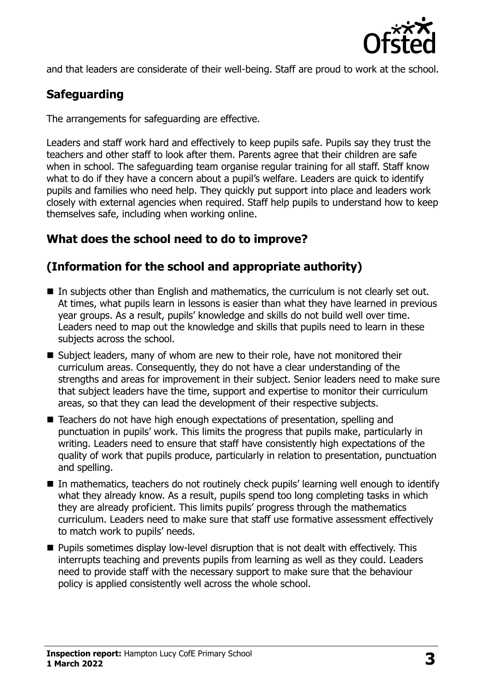

and that leaders are considerate of their well-being. Staff are proud to work at the school.

# **Safeguarding**

The arrangements for safeguarding are effective.

Leaders and staff work hard and effectively to keep pupils safe. Pupils say they trust the teachers and other staff to look after them. Parents agree that their children are safe when in school. The safeguarding team organise regular training for all staff. Staff know what to do if they have a concern about a pupil's welfare. Leaders are quick to identify pupils and families who need help. They quickly put support into place and leaders work closely with external agencies when required. Staff help pupils to understand how to keep themselves safe, including when working online.

# **What does the school need to do to improve?**

# **(Information for the school and appropriate authority)**

- In subjects other than English and mathematics, the curriculum is not clearly set out. At times, what pupils learn in lessons is easier than what they have learned in previous year groups. As a result, pupils' knowledge and skills do not build well over time. Leaders need to map out the knowledge and skills that pupils need to learn in these subjects across the school.
- Subject leaders, many of whom are new to their role, have not monitored their curriculum areas. Consequently, they do not have a clear understanding of the strengths and areas for improvement in their subject. Senior leaders need to make sure that subject leaders have the time, support and expertise to monitor their curriculum areas, so that they can lead the development of their respective subjects.
- Teachers do not have high enough expectations of presentation, spelling and punctuation in pupils' work. This limits the progress that pupils make, particularly in writing. Leaders need to ensure that staff have consistently high expectations of the quality of work that pupils produce, particularly in relation to presentation, punctuation and spelling.
- In mathematics, teachers do not routinely check pupils' learning well enough to identify what they already know. As a result, pupils spend too long completing tasks in which they are already proficient. This limits pupils' progress through the mathematics curriculum. Leaders need to make sure that staff use formative assessment effectively to match work to pupils' needs.
- **Pupils sometimes display low-level disruption that is not dealt with effectively. This** interrupts teaching and prevents pupils from learning as well as they could. Leaders need to provide staff with the necessary support to make sure that the behaviour policy is applied consistently well across the whole school.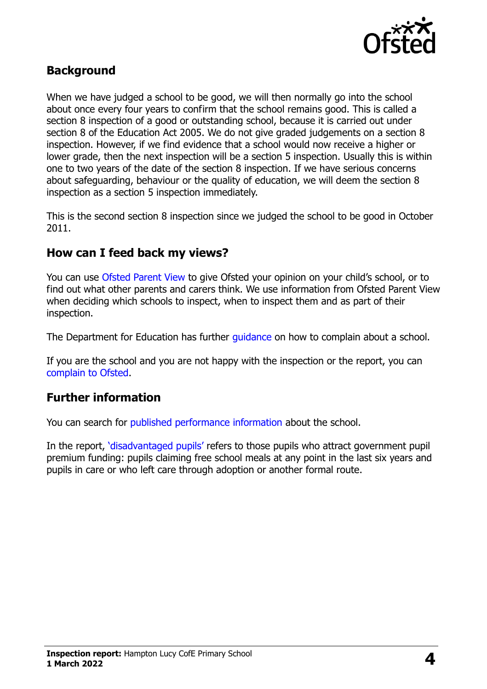

### **Background**

When we have judged a school to be good, we will then normally go into the school about once every four years to confirm that the school remains good. This is called a section 8 inspection of a good or outstanding school, because it is carried out under section 8 of the Education Act 2005. We do not give graded judgements on a section 8 inspection. However, if we find evidence that a school would now receive a higher or lower grade, then the next inspection will be a section 5 inspection. Usually this is within one to two years of the date of the section 8 inspection. If we have serious concerns about safeguarding, behaviour or the quality of education, we will deem the section 8 inspection as a section 5 inspection immediately.

This is the second section 8 inspection since we judged the school to be good in October 2011.

#### **How can I feed back my views?**

You can use [Ofsted Parent View](https://parentview.ofsted.gov.uk/) to give Ofsted your opinion on your child's school, or to find out what other parents and carers think. We use information from Ofsted Parent View when deciding which schools to inspect, when to inspect them and as part of their inspection.

The Department for Education has further quidance on how to complain about a school.

If you are the school and you are not happy with the inspection or the report, you can [complain to Ofsted.](https://www.gov.uk/complain-ofsted-report)

#### **Further information**

You can search for [published performance information](http://www.compare-school-performance.service.gov.uk/) about the school.

In the report, '[disadvantaged pupils](http://www.gov.uk/guidance/pupil-premium-information-for-schools-and-alternative-provision-settings)' refers to those pupils who attract government pupil premium funding: pupils claiming free school meals at any point in the last six years and pupils in care or who left care through adoption or another formal route.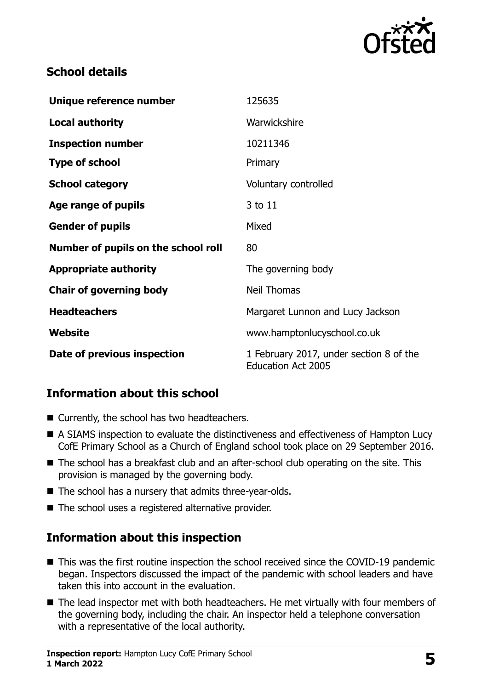

### **School details**

| Unique reference number             | 125635                                                               |
|-------------------------------------|----------------------------------------------------------------------|
| <b>Local authority</b>              | Warwickshire                                                         |
| <b>Inspection number</b>            | 10211346                                                             |
| <b>Type of school</b>               | Primary                                                              |
| <b>School category</b>              | Voluntary controlled                                                 |
| Age range of pupils                 | 3 to 11                                                              |
| <b>Gender of pupils</b>             | Mixed                                                                |
| Number of pupils on the school roll | 80                                                                   |
| <b>Appropriate authority</b>        | The governing body                                                   |
| <b>Chair of governing body</b>      | <b>Neil Thomas</b>                                                   |
| <b>Headteachers</b>                 | Margaret Lunnon and Lucy Jackson                                     |
| Website                             | www.hamptonlucyschool.co.uk                                          |
| Date of previous inspection         | 1 February 2017, under section 8 of the<br><b>Education Act 2005</b> |

# **Information about this school**

- Currently, the school has two headteachers.
- A SIAMS inspection to evaluate the distinctiveness and effectiveness of Hampton Lucy CofE Primary School as a Church of England school took place on 29 September 2016.
- The school has a breakfast club and an after-school club operating on the site. This provision is managed by the governing body.
- The school has a nursery that admits three-year-olds.
- The school uses a registered alternative provider.

# **Information about this inspection**

- This was the first routine inspection the school received since the COVID-19 pandemic began. Inspectors discussed the impact of the pandemic with school leaders and have taken this into account in the evaluation.
- The lead inspector met with both headteachers. He met virtually with four members of the governing body, including the chair. An inspector held a telephone conversation with a representative of the local authority.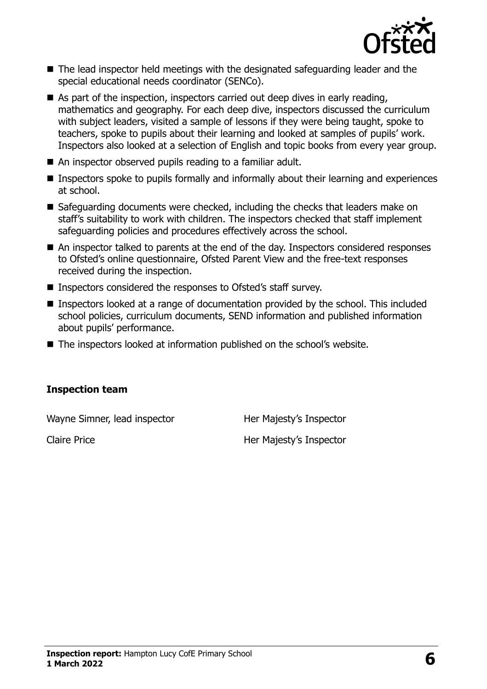

- The lead inspector held meetings with the designated safeguarding leader and the special educational needs coordinator (SENCo).
- As part of the inspection, inspectors carried out deep dives in early reading, mathematics and geography. For each deep dive, inspectors discussed the curriculum with subject leaders, visited a sample of lessons if they were being taught, spoke to teachers, spoke to pupils about their learning and looked at samples of pupils' work. Inspectors also looked at a selection of English and topic books from every year group.
- An inspector observed pupils reading to a familiar adult.
- Inspectors spoke to pupils formally and informally about their learning and experiences at school.
- Safeguarding documents were checked, including the checks that leaders make on staff's suitability to work with children. The inspectors checked that staff implement safeguarding policies and procedures effectively across the school.
- An inspector talked to parents at the end of the day. Inspectors considered responses to Ofsted's online questionnaire, Ofsted Parent View and the free-text responses received during the inspection.
- Inspectors considered the responses to Ofsted's staff survey.
- Inspectors looked at a range of documentation provided by the school. This included school policies, curriculum documents, SEND information and published information about pupils' performance.
- The inspectors looked at information published on the school's website.

#### **Inspection team**

Wayne Simner, lead inspector Her Majesty's Inspector

Claire Price **Her Majesty's Inspector**